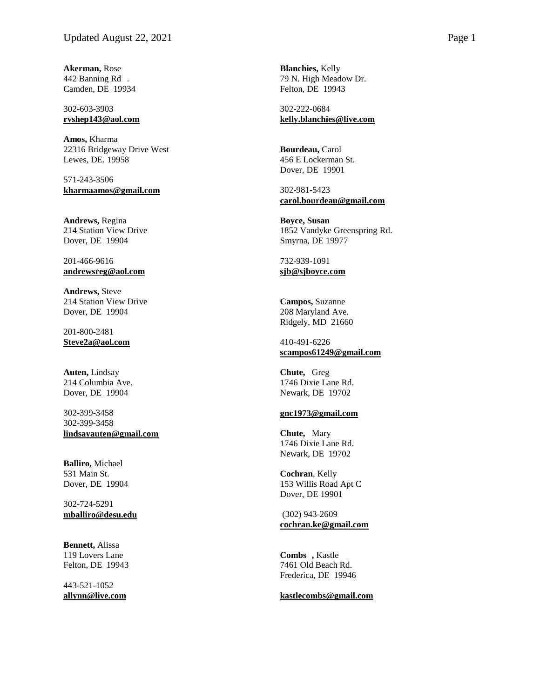**Akerman,** Rose 442 Banning Rd . Camden, DE 19934

## 302 -603 -3903 **[rvshep143@aol.com](mailto:rvshep143@aol.com)**

**Amos,** Kharma 22316 Bridgeway Drive West Lewes, DE. 19958

571 -243 -3506 **[kharmaamos@gmail.com](mailto:kharmaamos@gmail.com)**

**Andrews,** Regina 214 Station View Drive Dover, DE 19904

201 -466 -9616 **[andrewsreg@aol.com](mailto:andrewsreg@aol.com)**

**Andrews,** Steve 214 Station View Drive Dover, DE 19904

201 -800 -2481 **[Steve2a@aol.com](mailto:Steve2a@aol.com)**

**Auten,** Lindsay 214 Columbia Ave. Dover, DE 19904

302 -399 -3458 302 -399 -3458 **[lindsayauten@gmail.com](mailto:lindsayauten@gmail.com)**

**Balliro,** Michael 531 Main St. Dover, DE 19904

302 -724 -5291 **[mballiro@desu.edu](mailto:mballiro@desu.edu)**

**Bennett,** Alissa 119 Lovers Lane Felton, DE 19943

443 -521 -1052 **[allynn@live.com](mailto:allynn@live.com)**

**Blanchies,** Kelly 79 N. High Meadow Dr. Felton, DE 19943

302 -222 -0684 **[kelly.blanchies@live.com](mailto:kelly.blanchies@live.com)**

**Bourdeau,** Carol 456 E Lockerman St. Dover, DE 19901

302 -981 -5423 **[carol.bourdeau@gmail.com](mailto:carol.bourdeau@gmail.com)**

**Boyce , Susan** 1852 Vandyke Greenspring Rd. Smyrna, DE 19977

732 -939 -1091 **sjb@sjboyce.com**

**Campos,** Suzanne 208 Maryland Ave. Ridgely, MD 21660

410 -491 -6226 **[scampos61249@gmail.com](mailto:scampos61249@gmail.com)**

**Chute,** Greg 1746 Dixie Lane Rd. Newark, DE 19702

## **[gnc1973@gmail.com](mailto:gnc1973@gmail.com)**

**Chute,** Mary 1746 Dixie Lane Rd. Newark, DE 19702

**Cochran** , Kelly 153 Willis Road Apt C Dover, DE 19901

(302) 943 -2609 **cochran.ke@gmail.com**

**Combs ,** Kastle 7461 Old Beach Rd. Frederica, DE 19946

**[kastlecombs@gmail.com](mailto:kastlecombs@gmail.com)**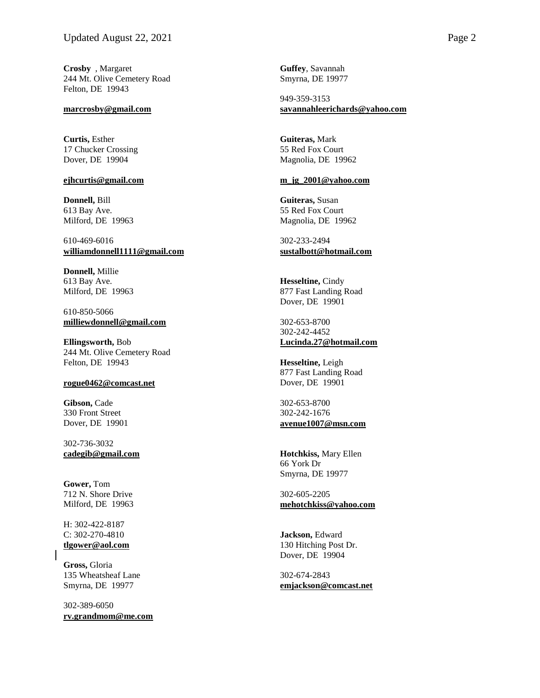**Crosby** , Margaret 244 Mt. Olive Cemetery Road Felton, DE 19943

### **[marcrosby@gmail.com](mailto:marcrosby@gmail.com)**

**Curtis,** Esther 17 Chucker Crossing Dover, DE 19904

# **[ejhcurtis@gmail.com](mailto:ejhcurtis@gmail.com)**

**Donnell,** Bill 613 Bay Ave. Milford, DE 19963

610-469-6016 **[williamdonnell1111@gmail.com](mailto:williamdonnell1111@gmail.com)**

**Donnell,** Millie 613 Bay Ave. Milford, DE 19963

610-850-5066 **[milliewdonnell@gmail.com](mailto:milliewdonnell@gmail.com)**

**Ellingsworth,** Bob 244 Mt. Olive Cemetery Road Felton, DE 19943

## **[rogue0462@comcast.net](mailto:rogue0462@comcast.net)**

**Gibson,** Cade 330 Front Street Dover, DE 19901

302-736-3032 **[cadegib@gmail.com](mailto:cadegib@gmail.com)**

**Gower,** Tom 712 N. Shore Drive Milford, DE 19963

H: 302-422-8187 C: 302-270-4810 **[tlgower@aol.com](mailto:tlgower@aol.com)**

**Gross,** Gloria 135 Wheatsheaf Lane Smyrna, DE 19977

302-389-6050 **[rv.grandmom@me.com](mailto:rv.grandmom@me.com)** **Guffey**, Savannah Smyrna, DE 19977

949-359-3153 **savannahleerichards@yahoo.com**

**Guiteras,** Mark 55 Red Fox Court Magnolia, DE 19962

#### **[m\\_jg\\_2001@yahoo.com](mailto:m_jg_2001@yahoo.com)**

**Guiteras,** Susan 55 Red Fox Court Magnolia, DE 19962

302-233-2494 **[sustalbott@hotmail.com](mailto:sustalbott@hotmail.com)**

**Hesseltine,** Cindy 877 Fast Landing Road Dover, DE 19901

302-653-8700 302-242-4452 **[Lucinda.27@hotmail.com](mailto:Lucinda.27@hotmail.com)**

**Hesseltine,** Leigh 877 Fast Landing Road Dover, DE 19901

302-653-8700 302-242-1676 **[avenue1007@msn.com](mailto:avenue1007@msn.com)**

**Hotchkiss,** Mary Ellen 66 York Dr Smyrna, DE 19977

302-605-2205 **mehotchkiss@yahoo.com**

**Jackson,** Edward 130 Hitching Post Dr. Dover, DE 19904

302-674-2843 **[emjackson@comcast.net](mailto:emjackson@comcast.net)**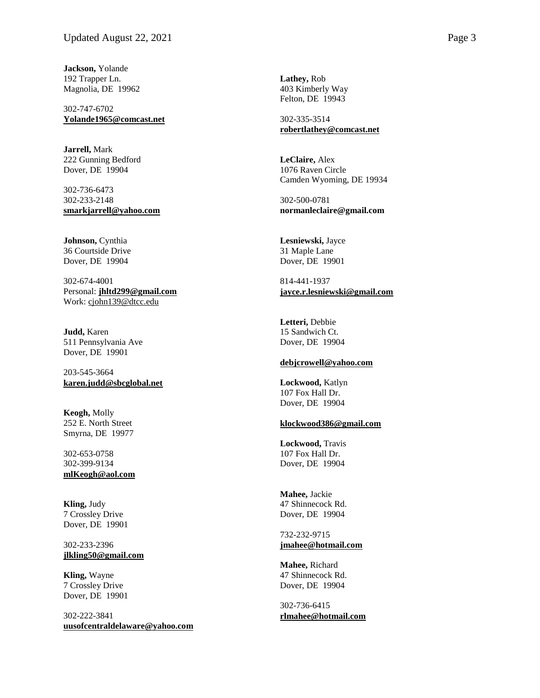**Jackson,** Yolande 192 Trapper Ln. Magnolia, DE 19962

302-747-6702 **[Yolande1965@comcast.net](mailto:Yolande1965@comcast.net)**

**Jarrell,** Mark 222 Gunning Bedford Dover, DE 19904

302-736-6473 302-233-2148 **[smarkjarrell@yahoo.com](mailto:smarkjarrell@yahoo.com)**

**Johnson,** Cynthia 36 Courtside Drive Dover, DE 19904

302-674-4001 Personal: **[jhltd299@gmail.com](mailto:jhltd299@gmail.com)** Work: [cjohn139@dtcc.edu](mailto:cjohn139@dtcc.edu)

**Judd,** Karen 511 Pennsylvania Ave Dover, DE 19901

203-545-3664 **[karen.judd@sbcglobal.net](mailto:karen.judd@sbcglobal.net)**

**Keogh,** Molly 252 E. North Street Smyrna, DE 19977

302-653-0758 302-399-9134 **[mlKeogh@aol.com](mailto:mlKeogh@aol.com)**

**Kling,** Judy 7 Crossley Drive Dover, DE 19901

302-233-2396 **[jlkling50@gmail.com](mailto:jlkling50@gmail.com)**

**Kling,** Wayne 7 Crossley Drive Dover, DE 19901

302-222-3841 **[uusofcentraldelaware@yahoo.com](mailto:uusofcentraldelaware@yahoo.com)** **Lathey,** Rob 403 Kimberly Way Felton, DE 19943

302-335-3514 **[robertlathey@comcast.net](mailto:robertlathey@comcast.net)**

**LeClaire,** Alex 1076 Raven Circle Camden Wyoming, DE 19934

302-500-0781 **normanleclaire@gmail.com**

**Lesniewski,** Jayce 31 Maple Lane Dover, DE 19901

814-441-1937 **[jayce.r.lesniewski@gmail.com](mailto:jayce.r.lesniewski@gmail.com)**

**Letteri,** Debbie 15 Sandwich Ct. Dover, DE 19904

## **[debjcrowell@yahoo.com](mailto:debjcrowell@yahoo.com)**

**Lockwood,** Katlyn 107 Fox Hall Dr. Dover, DE 19904

#### **[klockwood386@gmail.com](mailto:klockwood386@gmail.com)**

**Lockwood,** Travis 107 Fox Hall Dr. Dover, DE 19904

**Mahee,** Jackie 47 Shinnecock Rd. Dover, DE 19904

732-232-9715 **[jmahee@hotmail.com](mailto:jmahee@hotmail.com)**

**Mahee,** Richard 47 Shinnecock Rd. Dover, DE 19904

302-736-6415 **[rlmahee@hotmail.com](mailto:rlmahee@hotmail.com)**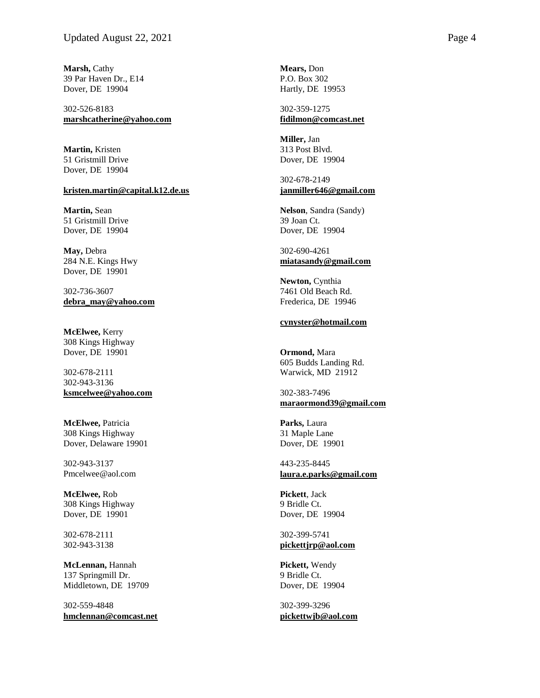**Marsh,** Cathy 39 Par Haven Dr., E14 Dover, DE 19904

302-526-8183 **[marshcatherine@yahoo.com](mailto:marshcatherine@yahoo.com)**

**Martin,** Kristen 51 Gristmill Drive Dover, DE 19904

#### **[kristen.martin@capital.k12.de.us](mailto:kristen.martin@capital.k12.de.us)**

**Martin,** Sean 51 Gristmill Drive Dover, DE 19904

**May,** Debra 284 N.E. Kings Hwy Dover, DE 19901

302-736-3607 **[debra\\_may@yahoo.com](mailto:debra_may@yahoo.com)**

**McElwee,** Kerry 308 Kings Highway Dover, DE 19901

302-678-2111 302-943-3136 **[ksmcelwee@yahoo.com](mailto:ksmcelwee@yahoo.com)**

**McElwee,** Patricia 308 Kings Highway Dover, Delaware 19901

302-943-3137 Pmcelwee@aol.com

**McElwee,** Rob 308 Kings Highway Dover, DE 19901

302-678-2111 302-943-3138

**McLennan,** Hannah 137 Springmill Dr. Middletown, DE 19709

302-559-4848 **[hmclennan@comcast.net](mailto:hmclennan@comcast.net)** **Mears,** Don P.O. Box 302 Hartly, DE 19953

302-359-1275 **[fidilmon@comcast.net](mailto:fidilmon@comcast.net)**

**Miller,** Jan 313 Post Blvd. Dover, DE 19904

302-678-2149 **[janmiller646@gmail.com](mailto:janmiller646@gmail.com)**

**Nelson**, Sandra (Sandy) 39 Joan Ct. Dover, DE 19904

302-690-4261 **[miatasandy@gmail.com](mailto:miatasandy@gmail.com)**

**Newton,** Cynthia 7461 Old Beach Rd. Frederica, DE 19946

## **[cynyster@hotmail.com](mailto:cynyster@hotmail.com)**

**Ormond,** Mara 605 Budds Landing Rd. Warwick, MD 21912

302-383-7496 **[maraormond39@gmail.com](mailto:maraormond39@gmail.com)**

**Parks,** Laura 31 Maple Lane Dover, DE 19901

443-235-8445 **[laura.e.parks@gmail.com](mailto:laura.e.parks@gmail.com)**

**Pickett**, Jack 9 Bridle Ct. Dover, DE 19904

302-399-5741 **[pickettjrp@aol.com](mailto:pickettjrp@aol.com)**

**Pickett,** Wendy 9 Bridle Ct. Dover, DE 19904

302-399-3296 **[pickettwjb@aol.com](mailto:pickettwjb@aol.com)**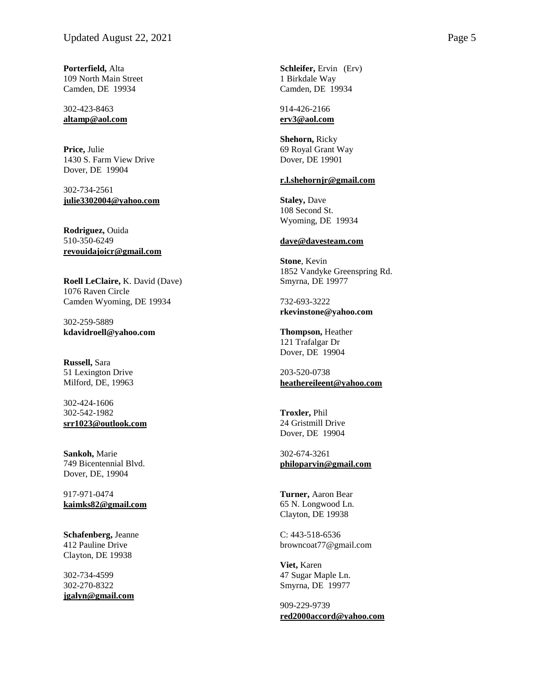**Porterfield,** Alta 109 North Main Street Camden, DE 19934

302 -423 -8463 **[altamp@aol.com](mailto:altamp@aol.com)**

**Price,** Julie 1430 S. Farm View Drive Dover, DE 19904

302 -734 -2561 **[julie3302004@yahoo.com](mailto:julie3302004@yahoo.com)**

**Rodriguez,** Ouida 510 -350 -6249 **[revouidajoicr@gmail.com](mailto:revouidajoicr@gmail.com)**

**Roell LeClaire,** K. David (Dave) 1076 Raven Circle Camden Wyoming, DE 19934

302 -259 -5889 **kdavidroell@yahoo.com**

**Russell,** Sara 51 Lexington Drive Milford, DE, 19963

302 -424 -1606 302 -542 -1982 **[srr1023@outlook.com](mailto:srr1023@outlook.com)**

**Sankoh ,** Marie 749 Bicentennial Blvd. Dover, DE, 19904

917 -971 -0474 **[kaimks82@gmail.com](mailto:kaimks82@gmail.com)**

**Schafenberg,** Jeanne 412 Pauline Drive Clayton, DE 19938

302 -734 -4599 302 -270 -8322 **[jgalyn@gmail.com](mailto:jgalyn@gmail.com)** **Schleifer,** Ervin (Erv) 1 Birkdale Way Camden, DE 19934

914 -426 -2166 **[erv3@aol.com](mailto:erv3@aol.com)**

**Shehorn,** Ricky 69 Royal Grant Way Dover, DE 19901

# **[r.l.shehornjr@gmail.com](mailto:r.l.shehornjr@gmail.com)**

**Staley,** Dave 108 Second St. Wyoming, DE 19934

#### **[dave@davesteam.com](mailto:dave@davesteam.com)**

**Stone** , Kevin 1852 Vandyke Greenspring Rd. Smyrna, DE 19977

732 -693 -3222 **rkevinstone@yahoo.com**

**Thompson,** Heather 121 Trafalgar Dr Dover, DE 19904

203 -520 -0738 **[heathereileent@yahoo.com](mailto:heathereileent@yahoo.com)**

**Troxler,** Phil 24 Gristmill Drive Dover, DE 19904

302 -674 -3261 **[philoparvin@gmail.com](mailto:philoparvin@gmail.com)**

**Turner,** Aaron Bear 65 N. Longwood Ln. Clayton, DE 19938

C: 443-518-6536 browncoat77@gmail.com

**Viet,** Karen 47 Sugar Maple Ln. Smyrna, DE 19977

909 -229 -9739 **[red2000accord@yahoo.com](mailto:red2000accord@yahoo.com)**